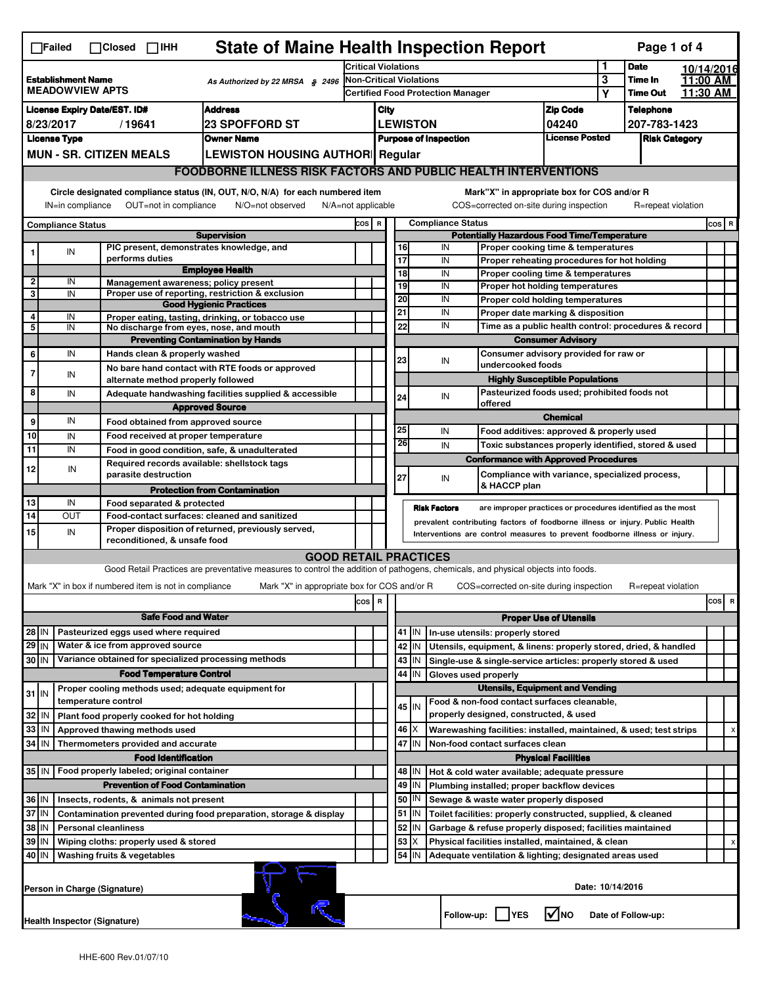|                                                                                                                                                          | <b>State of Maine Health Inspection Report</b><br>Page 1 of 4<br>$\Box$ Failed<br>$\Box$ Closed $\Box$ IHH                    |                     |                                                       |                                                                                                                                   |                                                                            |                              |                                                                                                                                                            |                                                                       |                                                                    |                                                                  |                                                                                               |                               |                            |                      |                      |           |
|----------------------------------------------------------------------------------------------------------------------------------------------------------|-------------------------------------------------------------------------------------------------------------------------------|---------------------|-------------------------------------------------------|-----------------------------------------------------------------------------------------------------------------------------------|----------------------------------------------------------------------------|------------------------------|------------------------------------------------------------------------------------------------------------------------------------------------------------|-----------------------------------------------------------------------|--------------------------------------------------------------------|------------------------------------------------------------------|-----------------------------------------------------------------------------------------------|-------------------------------|----------------------------|----------------------|----------------------|-----------|
|                                                                                                                                                          |                                                                                                                               |                     |                                                       |                                                                                                                                   | <b>Critical Violations</b>                                                 |                              |                                                                                                                                                            |                                                                       |                                                                    |                                                                  | 1                                                                                             | <b>Date</b>                   |                            | 10/14/2016           |                      |           |
| <b>Establishment Name</b><br>As Authorized by 22 MRSA § 2496<br><b>MEADOWVIEW APTS</b>                                                                   |                                                                                                                               |                     |                                                       |                                                                                                                                   | <b>Non-Critical Violations</b><br><b>Certified Food Protection Manager</b> |                              |                                                                                                                                                            |                                                                       |                                                                    |                                                                  |                                                                                               | 3<br>Y                        | Time In<br><b>Time Out</b> |                      | 11:00 AM<br>11:30 AM |           |
| <b>Address</b><br><b>License Expiry Date/EST. ID#</b>                                                                                                    |                                                                                                                               |                     |                                                       |                                                                                                                                   |                                                                            | City                         |                                                                                                                                                            |                                                                       |                                                                    |                                                                  |                                                                                               |                               |                            | <b>Telephone</b>     |                      |           |
| 8/23/2017<br><b>23 SPOFFORD ST</b><br>/19641                                                                                                             |                                                                                                                               |                     |                                                       |                                                                                                                                   |                                                                            |                              | <b>LEWISTON</b>                                                                                                                                            |                                                                       |                                                                    |                                                                  |                                                                                               | <b>Zip Code</b><br>04240      |                            | 207-783-1423         |                      |           |
| <b>License Type</b><br><b>Owner Name</b>                                                                                                                 |                                                                                                                               |                     |                                                       |                                                                                                                                   |                                                                            | <b>Purpose of Inspection</b> |                                                                                                                                                            |                                                                       |                                                                    |                                                                  |                                                                                               | <b>License Posted</b>         |                            | <b>Risk Category</b> |                      |           |
| <b>MUN - SR. CITIZEN MEALS</b><br><b>LEWISTON HOUSING AUTHOR Regular</b>                                                                                 |                                                                                                                               |                     |                                                       |                                                                                                                                   |                                                                            |                              |                                                                                                                                                            |                                                                       |                                                                    |                                                                  |                                                                                               |                               |                            |                      |                      |           |
|                                                                                                                                                          | <b>FOODBORNE ILLNESS RISK FACTORS AND PUBLIC HEALTH INTERVENTIONS</b>                                                         |                     |                                                       |                                                                                                                                   |                                                                            |                              |                                                                                                                                                            |                                                                       |                                                                    |                                                                  |                                                                                               |                               |                            |                      |                      |           |
|                                                                                                                                                          | Circle designated compliance status (IN, OUT, N/O, N/A) for each numbered item<br>Mark"X" in appropriate box for COS and/or R |                     |                                                       |                                                                                                                                   |                                                                            |                              |                                                                                                                                                            |                                                                       |                                                                    |                                                                  |                                                                                               |                               |                            |                      |                      |           |
| OUT=not in compliance<br>COS=corrected on-site during inspection<br>IN=in compliance<br>N/O=not observed<br>$N/A = not$ applicable<br>R=repeat violation |                                                                                                                               |                     |                                                       |                                                                                                                                   |                                                                            |                              |                                                                                                                                                            |                                                                       |                                                                    |                                                                  |                                                                                               |                               |                            |                      |                      |           |
|                                                                                                                                                          | <b>Compliance Status</b>                                                                                                      |                     |                                                       | <b>Supervision</b>                                                                                                                | COS R                                                                      |                              | <b>Compliance Status</b><br><b>Potentially Hazardous Food Time/Temperature</b>                                                                             |                                                                       |                                                                    |                                                                  |                                                                                               |                               |                            |                      |                      | $cos$ R   |
|                                                                                                                                                          | IN                                                                                                                            |                     |                                                       | PIC present, demonstrates knowledge, and                                                                                          |                                                                            |                              |                                                                                                                                                            | 16                                                                    |                                                                    | IN                                                               | Proper cooking time & temperatures                                                            |                               |                            |                      |                      |           |
|                                                                                                                                                          |                                                                                                                               |                     | performs duties                                       |                                                                                                                                   |                                                                            |                              |                                                                                                                                                            | 17                                                                    |                                                                    | IN                                                               | Proper reheating procedures for hot holding                                                   |                               |                            |                      |                      |           |
| $\mathbf{2}$                                                                                                                                             | IN                                                                                                                            |                     |                                                       | <b>Employee Health</b><br>Management awareness; policy present                                                                    |                                                                            |                              |                                                                                                                                                            | 18                                                                    |                                                                    | IN                                                               | Proper cooling time & temperatures                                                            |                               |                            |                      |                      |           |
| 3                                                                                                                                                        | IN                                                                                                                            |                     |                                                       | Proper use of reporting, restriction & exclusion                                                                                  |                                                                            |                              |                                                                                                                                                            | 19<br>20                                                              |                                                                    | IN<br>IN                                                         | <b>Proper hot holding temperatures</b><br>Proper cold holding temperatures                    |                               |                            |                      |                      |           |
|                                                                                                                                                          |                                                                                                                               |                     |                                                       | <b>Good Hygienic Practices</b>                                                                                                    |                                                                            |                              |                                                                                                                                                            | 21                                                                    |                                                                    | IN                                                               | Proper date marking & disposition                                                             |                               |                            |                      |                      |           |
| 4<br>5                                                                                                                                                   | IN<br>IN                                                                                                                      |                     |                                                       | Proper eating, tasting, drinking, or tobacco use<br>No discharge from eyes, nose, and mouth                                       |                                                                            |                              |                                                                                                                                                            | 22                                                                    |                                                                    | IN                                                               | Time as a public health control: procedures & record                                          |                               |                            |                      |                      |           |
|                                                                                                                                                          |                                                                                                                               |                     |                                                       | <b>Preventing Contamination by Hands</b>                                                                                          |                                                                            |                              |                                                                                                                                                            |                                                                       |                                                                    |                                                                  | <b>Consumer Advisory</b>                                                                      |                               |                            |                      |                      |           |
| 6                                                                                                                                                        | IN                                                                                                                            |                     | Hands clean & properly washed                         |                                                                                                                                   |                                                                            |                              |                                                                                                                                                            | 23                                                                    |                                                                    | IN                                                               | Consumer advisory provided for raw or                                                         |                               |                            |                      |                      |           |
| 7                                                                                                                                                        | IN                                                                                                                            |                     |                                                       | No bare hand contact with RTE foods or approved                                                                                   |                                                                            |                              |                                                                                                                                                            |                                                                       |                                                                    |                                                                  | undercooked foods<br><b>Highly Susceptible Populations</b>                                    |                               |                            |                      |                      |           |
| 8                                                                                                                                                        | IN                                                                                                                            |                     | alternate method properly followed                    | Adequate handwashing facilities supplied & accessible                                                                             |                                                                            |                              |                                                                                                                                                            |                                                                       |                                                                    |                                                                  | Pasteurized foods used; prohibited foods not                                                  |                               |                            |                      |                      |           |
|                                                                                                                                                          |                                                                                                                               |                     |                                                       | <b>Approved Source</b>                                                                                                            |                                                                            |                              |                                                                                                                                                            | 24                                                                    |                                                                    | IN                                                               | offered                                                                                       |                               |                            |                      |                      |           |
| 9                                                                                                                                                        | IN                                                                                                                            |                     |                                                       | Food obtained from approved source                                                                                                |                                                                            |                              |                                                                                                                                                            |                                                                       |                                                                    |                                                                  |                                                                                               | <b>Chemical</b>               |                            |                      |                      |           |
| 10                                                                                                                                                       | IN                                                                                                                            |                     |                                                       | Food received at proper temperature                                                                                               |                                                                            |                              |                                                                                                                                                            | 25<br>26                                                              |                                                                    | IN                                                               | Food additives: approved & properly used                                                      |                               |                            |                      |                      |           |
| 11                                                                                                                                                       | IN                                                                                                                            |                     |                                                       | Food in good condition, safe, & unadulterated                                                                                     |                                                                            |                              |                                                                                                                                                            |                                                                       |                                                                    | IN                                                               | Toxic substances properly identified, stored & used                                           |                               |                            |                      |                      |           |
| 12                                                                                                                                                       | IN                                                                                                                            |                     | parasite destruction                                  | Required records available: shellstock tags                                                                                       |                                                                            |                              |                                                                                                                                                            |                                                                       |                                                                    |                                                                  | <b>Conformance with Approved Procedures</b><br>Compliance with variance, specialized process, |                               |                            |                      |                      |           |
|                                                                                                                                                          |                                                                                                                               |                     |                                                       | <b>Protection from Contamination</b>                                                                                              |                                                                            |                              |                                                                                                                                                            | 27                                                                    |                                                                    | IN                                                               | & HACCP plan                                                                                  |                               |                            |                      |                      |           |
| 13                                                                                                                                                       | IN                                                                                                                            |                     | Food separated & protected                            |                                                                                                                                   |                                                                            |                              |                                                                                                                                                            |                                                                       |                                                                    |                                                                  |                                                                                               |                               |                            |                      |                      |           |
| 14                                                                                                                                                       | OUT                                                                                                                           |                     |                                                       | Food-contact surfaces: cleaned and sanitized                                                                                      |                                                                            |                              |                                                                                                                                                            |                                                                       | <b>Risk Factors</b>                                                |                                                                  | are improper practices or procedures identified as the most                                   |                               |                            |                      |                      |           |
| 15                                                                                                                                                       | IN                                                                                                                            |                     | reconditioned, & unsafe food                          | Proper disposition of returned, previously served,                                                                                |                                                                            |                              | prevalent contributing factors of foodborne illness or injury. Public Health<br>Interventions are control measures to prevent foodborne illness or injury. |                                                                       |                                                                    |                                                                  |                                                                                               |                               |                            |                      |                      |           |
|                                                                                                                                                          |                                                                                                                               |                     |                                                       | <b>GOOD RETAIL PRACTICES</b>                                                                                                      |                                                                            |                              |                                                                                                                                                            |                                                                       |                                                                    |                                                                  |                                                                                               |                               |                            |                      |                      |           |
|                                                                                                                                                          |                                                                                                                               |                     |                                                       | Good Retail Practices are preventative measures to control the addition of pathogens, chemicals, and physical objects into foods. |                                                                            |                              |                                                                                                                                                            |                                                                       |                                                                    |                                                                  |                                                                                               |                               |                            |                      |                      |           |
|                                                                                                                                                          |                                                                                                                               |                     | Mark "X" in box if numbered item is not in compliance | Mark "X" in appropriate box for COS and/or R                                                                                      |                                                                            |                              |                                                                                                                                                            |                                                                       |                                                                    |                                                                  | COS=corrected on-site during inspection                                                       |                               |                            | R=repeat violation   |                      |           |
|                                                                                                                                                          |                                                                                                                               |                     |                                                       |                                                                                                                                   | COS R                                                                      |                              |                                                                                                                                                            |                                                                       |                                                                    |                                                                  |                                                                                               |                               |                            |                      |                      | cosl<br>R |
|                                                                                                                                                          |                                                                                                                               |                     | <b>Safe Food and Water</b>                            |                                                                                                                                   |                                                                            |                              |                                                                                                                                                            |                                                                       |                                                                    |                                                                  |                                                                                               | <b>Proper Use of Utensils</b> |                            |                      |                      |           |
| $28$ IN<br>Pasteurized eggs used where required                                                                                                          |                                                                                                                               |                     |                                                       |                                                                                                                                   |                                                                            |                              |                                                                                                                                                            | 41   IN                                                               |                                                                    | In-use utensils: properly stored                                 |                                                                                               |                               |                            |                      |                      |           |
| $29$ IN<br>Water & ice from approved source                                                                                                              |                                                                                                                               |                     |                                                       |                                                                                                                                   |                                                                            |                              | 42<br>IN                                                                                                                                                   |                                                                       |                                                                    | Utensils, equipment, & linens: properly stored, dried, & handled |                                                                                               |                               |                            |                      |                      |           |
| Variance obtained for specialized processing methods<br>30 IN                                                                                            |                                                                                                                               |                     |                                                       |                                                                                                                                   |                                                                            |                              |                                                                                                                                                            | 43<br>IN                                                              |                                                                    |                                                                  | Single-use & single-service articles: properly stored & used                                  |                               |                            |                      |                      |           |
|                                                                                                                                                          |                                                                                                                               |                     | <b>Food Temperature Control</b>                       |                                                                                                                                   |                                                                            |                              | 44<br>IN<br>Gloves used properly<br><b>Utensils, Equipment and Vending</b>                                                                                 |                                                                       |                                                                    |                                                                  |                                                                                               |                               |                            |                      |                      |           |
| $31$ IN                                                                                                                                                  |                                                                                                                               | temperature control |                                                       | Proper cooling methods used; adequate equipment for                                                                               |                                                                            |                              |                                                                                                                                                            |                                                                       |                                                                    |                                                                  | Food & non-food contact surfaces cleanable,                                                   |                               |                            |                      |                      |           |
| 32<br>Plant food properly cooked for hot holding<br>IN                                                                                                   |                                                                                                                               |                     |                                                       |                                                                                                                                   |                                                                            |                              |                                                                                                                                                            | 45 I IN                                                               |                                                                    |                                                                  | properly designed, constructed, & used                                                        |                               |                            |                      |                      |           |
| 33<br>IN<br>Approved thawing methods used                                                                                                                |                                                                                                                               |                     |                                                       |                                                                                                                                   |                                                                            |                              | 46<br>х                                                                                                                                                    |                                                                       | Warewashing facilities: installed, maintained, & used; test strips |                                                                  |                                                                                               |                               |                            |                      |                      |           |
| 34 IN                                                                                                                                                    |                                                                                                                               |                     | Thermometers provided and accurate                    |                                                                                                                                   |                                                                            |                              |                                                                                                                                                            | 47 IN<br>Non-food contact surfaces clean                              |                                                                    |                                                                  |                                                                                               |                               |                            |                      |                      |           |
|                                                                                                                                                          | <b>Food Identification</b><br><b>Physical Facilities</b>                                                                      |                     |                                                       |                                                                                                                                   |                                                                            |                              |                                                                                                                                                            |                                                                       |                                                                    |                                                                  |                                                                                               |                               |                            |                      |                      |           |
|                                                                                                                                                          | 35   IN<br>Food properly labeled; original container<br>48   IN<br>Hot & cold water available; adequate pressure              |                     |                                                       |                                                                                                                                   |                                                                            |                              |                                                                                                                                                            |                                                                       |                                                                    |                                                                  |                                                                                               |                               |                            |                      |                      |           |
|                                                                                                                                                          | <b>Prevention of Food Contamination</b>                                                                                       |                     |                                                       |                                                                                                                                   |                                                                            |                              | 49<br>IN<br>Plumbing installed; proper backflow devices                                                                                                    |                                                                       |                                                                    |                                                                  |                                                                                               |                               |                            |                      |                      |           |
| 36 IN<br>Insects, rodents, & animals not present<br>37 IN<br>Contamination prevented during food preparation, storage & display                          |                                                                                                                               |                     |                                                       |                                                                                                                                   |                                                                            |                              | 50   IN<br>Sewage & waste water properly disposed<br>$51$ M<br>Toilet facilities: properly constructed, supplied, & cleaned                                |                                                                       |                                                                    |                                                                  |                                                                                               |                               |                            |                      |                      |           |
| 38 IN<br><b>Personal cleanliness</b>                                                                                                                     |                                                                                                                               |                     |                                                       |                                                                                                                                   |                                                                            |                              |                                                                                                                                                            | 52<br>IN<br>Garbage & refuse properly disposed; facilities maintained |                                                                    |                                                                  |                                                                                               |                               |                            |                      |                      |           |
| 39 IN<br>Wiping cloths: properly used & stored                                                                                                           |                                                                                                                               |                     |                                                       |                                                                                                                                   |                                                                            |                              | 53<br>Physical facilities installed, maintained, & clean                                                                                                   |                                                                       |                                                                    |                                                                  |                                                                                               |                               |                            | X                    |                      |           |
|                                                                                                                                                          | 54<br>40 IN<br>Washing fruits & vegetables<br>IN<br>Adequate ventilation & lighting; designated areas used                    |                     |                                                       |                                                                                                                                   |                                                                            |                              |                                                                                                                                                            |                                                                       |                                                                    |                                                                  |                                                                                               |                               |                            |                      |                      |           |
|                                                                                                                                                          | Date: 10/14/2016<br>Person in Charge (Signature)                                                                              |                     |                                                       |                                                                                                                                   |                                                                            |                              |                                                                                                                                                            |                                                                       |                                                                    |                                                                  |                                                                                               |                               |                            |                      |                      |           |
|                                                                                                                                                          |                                                                                                                               |                     |                                                       | l√lno<br>Follow-up:     YES<br>Date of Follow-up:<br>Health Inspector (Signature)                                                 |                                                                            |                              |                                                                                                                                                            |                                                                       |                                                                    |                                                                  |                                                                                               |                               |                            |                      |                      |           |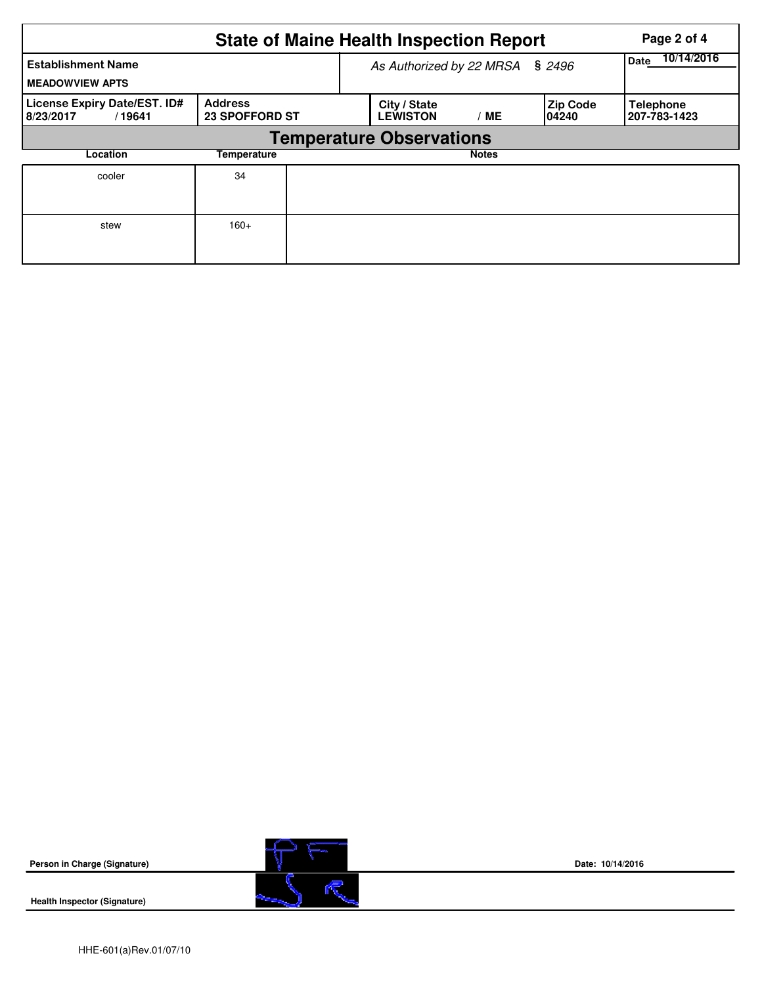|                                                                                                | Page 2 of 4 |                                 |                                 |              |                           |                                  |  |  |  |  |
|------------------------------------------------------------------------------------------------|-------------|---------------------------------|---------------------------------|--------------|---------------------------|----------------------------------|--|--|--|--|
| <b>Establishment Name</b><br><b>MEADOWVIEW APTS</b>                                            |             | As Authorized by 22 MRSA § 2496 | 10/14/2016<br><b>Date</b>       |              |                           |                                  |  |  |  |  |
| License Expiry Date/EST. ID#<br><b>Address</b><br><b>23 SPOFFORD ST</b><br>8/23/2017<br>/19641 |             |                                 | City / State<br><b>LEWISTON</b> | МE           | <b>Zip Code</b><br>104240 | <b>Telephone</b><br>207-783-1423 |  |  |  |  |
| <b>Temperature Observations</b>                                                                |             |                                 |                                 |              |                           |                                  |  |  |  |  |
| Location                                                                                       | Temperature |                                 |                                 | <b>Notes</b> |                           |                                  |  |  |  |  |
| cooler                                                                                         | 34          |                                 |                                 |              |                           |                                  |  |  |  |  |
| stew                                                                                           | $160+$      |                                 |                                 |              |                           |                                  |  |  |  |  |



**Date: 10/14/2016**

**Health Inspector (Signature)**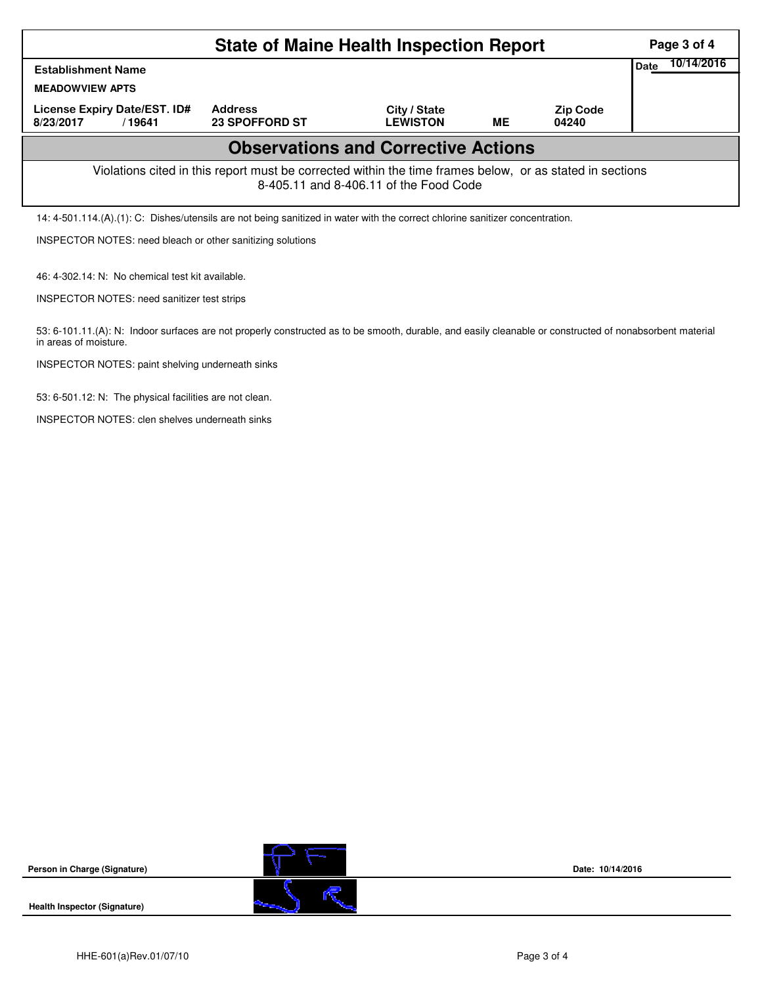|                                                                                                                                                    | Page 3 of 4                             |                                 |    |                          |  |  |  |  |  |
|----------------------------------------------------------------------------------------------------------------------------------------------------|-----------------------------------------|---------------------------------|----|--------------------------|--|--|--|--|--|
| <b>Establishment Name</b>                                                                                                                          | Date                                    | 10/14/2016                      |    |                          |  |  |  |  |  |
| <b>MEADOWVIEW APTS</b>                                                                                                                             |                                         |                                 |    |                          |  |  |  |  |  |
| License Expiry Date/EST. ID#<br>8/23/2017<br>/19641                                                                                                | <b>Address</b><br><b>23 SPOFFORD ST</b> | City / State<br><b>LEWISTON</b> | ME | <b>Zip Code</b><br>04240 |  |  |  |  |  |
| <b>Observations and Corrective Actions</b>                                                                                                         |                                         |                                 |    |                          |  |  |  |  |  |
| Violations cited in this report must be corrected within the time frames below, or as stated in sections<br>8-405.11 and 8-406.11 of the Food Code |                                         |                                 |    |                          |  |  |  |  |  |
| 14: 4-501.114.(A).(1): C: Dishes/utensils are not being sanitized in water with the correct chlorine sanitizer concentration.                      |                                         |                                 |    |                          |  |  |  |  |  |
| <b>INSPECTOR NOTES: need bleach or other sanitizing solutions</b>                                                                                  |                                         |                                 |    |                          |  |  |  |  |  |

46: 4-302.14: N: No chemical test kit available.

INSPECTOR NOTES: need sanitizer test strips

53: 6-101.11.(A): N: Indoor surfaces are not properly constructed as to be smooth, durable, and easily cleanable or constructed of nonabsorbent material in areas of moisture.

INSPECTOR NOTES: paint shelving underneath sinks

53: 6-501.12: N: The physical facilities are not clean.

INSPECTOR NOTES: clen shelves underneath sinks



**Date: 10/14/2016**

**Health Inspector (Signature)** 

**Person in Charge (Signature)**